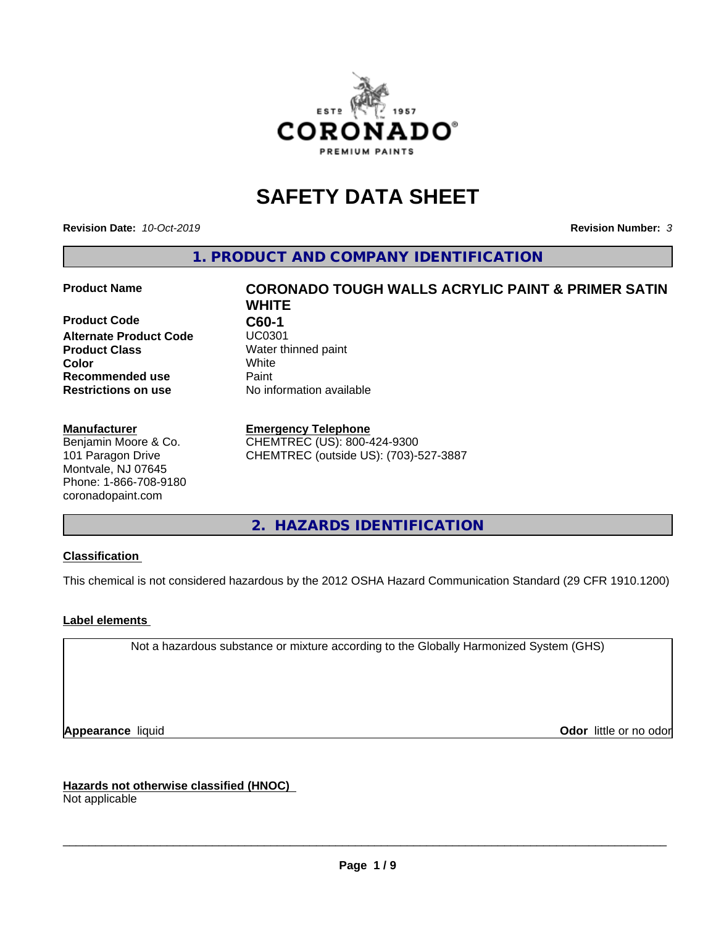

# **SAFETY DATA SHEET**

**Revision Date:** *10-Oct-2019* **Revision Number:** *3*

**1. PRODUCT AND COMPANY IDENTIFICATION**

**Product Code C60-1 Alternate Product Code Product Class** Water thinned paint<br> **Color** White **Recommended use Caint Restrictions on use** No information available

#### **Manufacturer**

Benjamin Moore & Co. 101 Paragon Drive Montvale, NJ 07645 Phone: 1-866-708-9180 coronadopaint.com

# **Product Name CORONADO TOUGH WALLS ACRYLIC PAINT & PRIMER SATIN WHITE Color** White

### **Emergency Telephone**

CHEMTREC (US): 800-424-9300 CHEMTREC (outside US): (703)-527-3887

# **2. HAZARDS IDENTIFICATION**

#### **Classification**

This chemical is not considered hazardous by the 2012 OSHA Hazard Communication Standard (29 CFR 1910.1200)

#### **Label elements**

Not a hazardous substance or mixture according to the Globally Harmonized System (GHS)

**Appearance** liquid **Contract Contract Contract Contract Contract Contract Contract Contract Contract Contract Contract Contract Contract Contract Contract Contract Contract Contract Contract Contract Contract Contract Con** 

**Hazards not otherwise classified (HNOC)**

Not applicable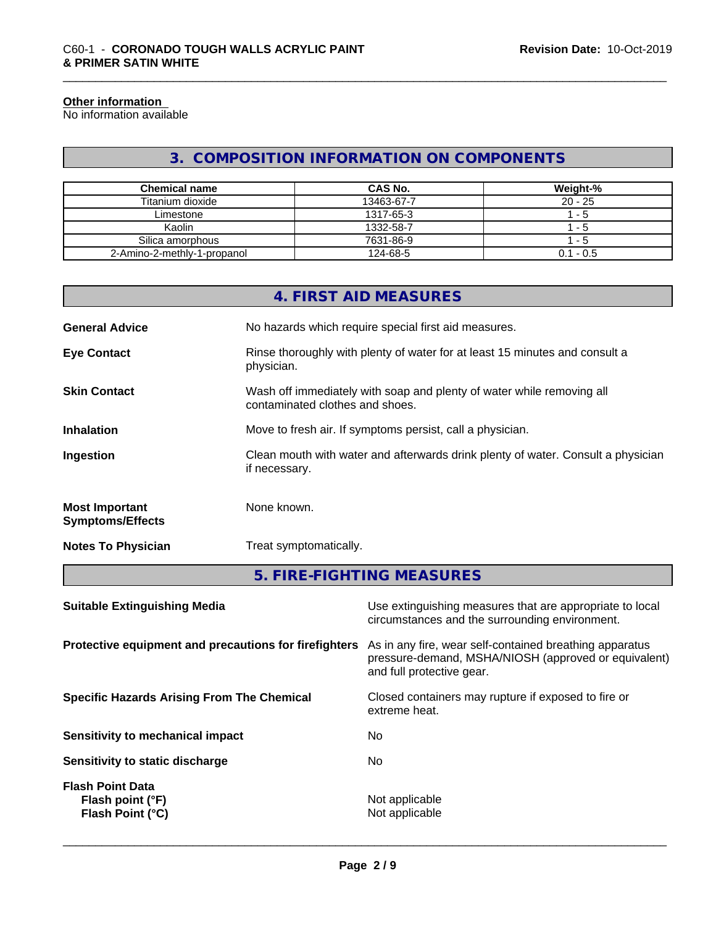#### **Other information**

No information available

# **3. COMPOSITION INFORMATION ON COMPONENTS**

| <b>Chemical name</b>        | CAS No.    | Weight-%    |
|-----------------------------|------------|-------------|
| Titanium dioxide            | 13463-67-7 | $20 - 25$   |
| Limestone                   | 1317-65-3  | - 5         |
| Kaolin                      | 1332-58-7  | - 5         |
| Silica amorphous            | 7631-86-9  | - 5         |
| 2-Amino-2-methly-1-propanol | 124-68-5   | $0.1 - 0.5$ |

|                                                  | 4. FIRST AID MEASURES                                                                                    |
|--------------------------------------------------|----------------------------------------------------------------------------------------------------------|
| <b>General Advice</b>                            | No hazards which require special first aid measures.                                                     |
| <b>Eye Contact</b>                               | Rinse thoroughly with plenty of water for at least 15 minutes and consult a<br>physician.                |
| <b>Skin Contact</b>                              | Wash off immediately with soap and plenty of water while removing all<br>contaminated clothes and shoes. |
| <b>Inhalation</b>                                | Move to fresh air. If symptoms persist, call a physician.                                                |
| Ingestion                                        | Clean mouth with water and afterwards drink plenty of water. Consult a physician<br>if necessary.        |
| <b>Most Important</b><br><b>Symptoms/Effects</b> | None known.                                                                                              |
| <b>Notes To Physician</b>                        | Treat symptomatically.                                                                                   |
|                                                  | 5. FIRE-FIGHTING MEASURES                                                                                |

| Use extinguishing measures that are appropriate to local<br>circumstances and the surrounding environment.                                   |
|----------------------------------------------------------------------------------------------------------------------------------------------|
| As in any fire, wear self-contained breathing apparatus<br>pressure-demand, MSHA/NIOSH (approved or equivalent)<br>and full protective gear. |
| Closed containers may rupture if exposed to fire or<br>extreme heat.                                                                         |
| No                                                                                                                                           |
| No                                                                                                                                           |
| Not applicable<br>Not applicable                                                                                                             |
|                                                                                                                                              |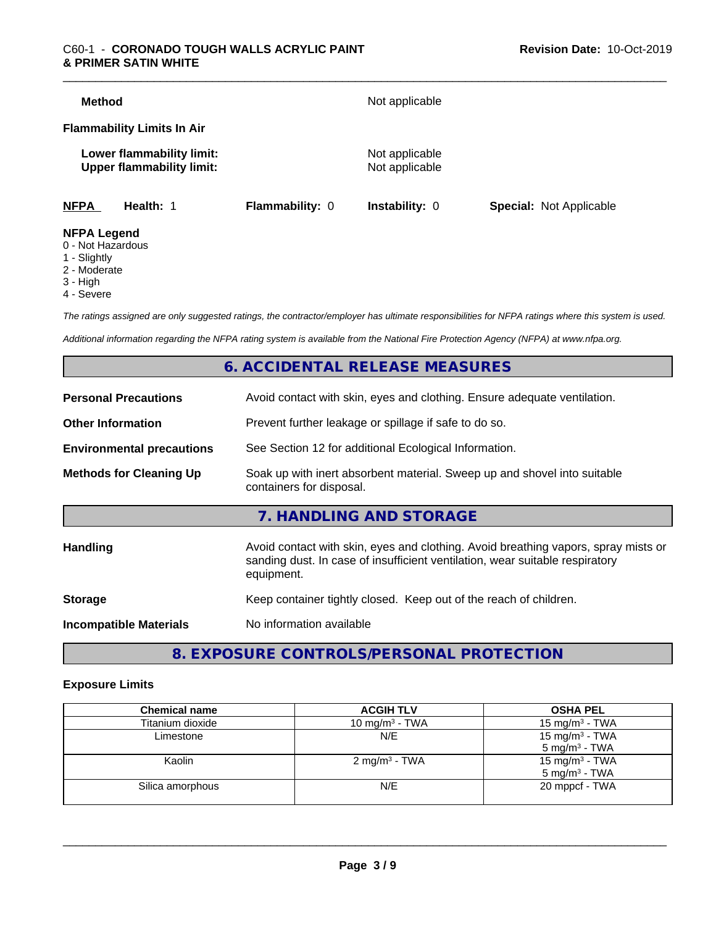| <b>Method</b>                                                                                                                |                 | Not applicable                   |                                |
|------------------------------------------------------------------------------------------------------------------------------|-----------------|----------------------------------|--------------------------------|
| <b>Flammability Limits In Air</b>                                                                                            |                 |                                  |                                |
| Lower flammability limit:<br><b>Upper flammability limit:</b>                                                                |                 | Not applicable<br>Not applicable |                                |
| <b>NFPA</b><br>Health: 1                                                                                                     | Flammability: 0 | <b>Instability: 0</b>            | <b>Special: Not Applicable</b> |
| <b>NFPA Legend</b><br>$\bigcap$ <b>N</b> Let $\bigcup$ $\bigcup$ $\bigcup$ $\bigcup$ $\bigcup$ $\bigcup$ $\bigcup$ $\bigcup$ |                 |                                  |                                |

- 0 Not Hazardous
- 1 Slightly
- 2 Moderate
- 3 High
- 4 Severe

*The ratings assigned are only suggested ratings, the contractor/employer has ultimate responsibilities for NFPA ratings where this system is used.*

*Additional information regarding the NFPA rating system is available from the National Fire Protection Agency (NFPA) at www.nfpa.org.*

# **6. ACCIDENTAL RELEASE MEASURES**

| <b>Personal Precautions</b>      | Avoid contact with skin, eyes and clothing. Ensure adequate ventilation.                                                                                                         |
|----------------------------------|----------------------------------------------------------------------------------------------------------------------------------------------------------------------------------|
| <b>Other Information</b>         | Prevent further leakage or spillage if safe to do so.                                                                                                                            |
| <b>Environmental precautions</b> | See Section 12 for additional Ecological Information.                                                                                                                            |
| <b>Methods for Cleaning Up</b>   | Soak up with inert absorbent material. Sweep up and shovel into suitable<br>containers for disposal.                                                                             |
|                                  | 7. HANDLING AND STORAGE                                                                                                                                                          |
| Handling                         | Avoid contact with skin, eyes and clothing. Avoid breathing vapors, spray mists or<br>sanding dust. In case of insufficient ventilation, wear suitable respiratory<br>equipment. |
| <b>Storage</b>                   | Keep container tightly closed. Keep out of the reach of children.                                                                                                                |
| <b>Incompatible Materials</b>    | No information available                                                                                                                                                         |
|                                  |                                                                                                                                                                                  |

**8. EXPOSURE CONTROLS/PERSONAL PROTECTION**

#### **Exposure Limits**

| <b>Chemical name</b> | <b>ACGIH TLV</b>          | <b>OSHA PEL</b>            |
|----------------------|---------------------------|----------------------------|
| Titanium dioxide     | 10 mg/m $3$ - TWA         | 15 mg/m $3$ - TWA          |
| Limestone            | N/E                       | 15 mg/m <sup>3</sup> - TWA |
|                      |                           | $5 \text{ ma/m}^3$ - TWA   |
| Kaolin               | 2 mg/m <sup>3</sup> - TWA | 15 mg/m <sup>3</sup> - TWA |
|                      |                           | $5 \text{ mg/m}^3$ - TWA   |
| Silica amorphous     | N/E                       | 20 mppcf - TWA             |
|                      |                           |                            |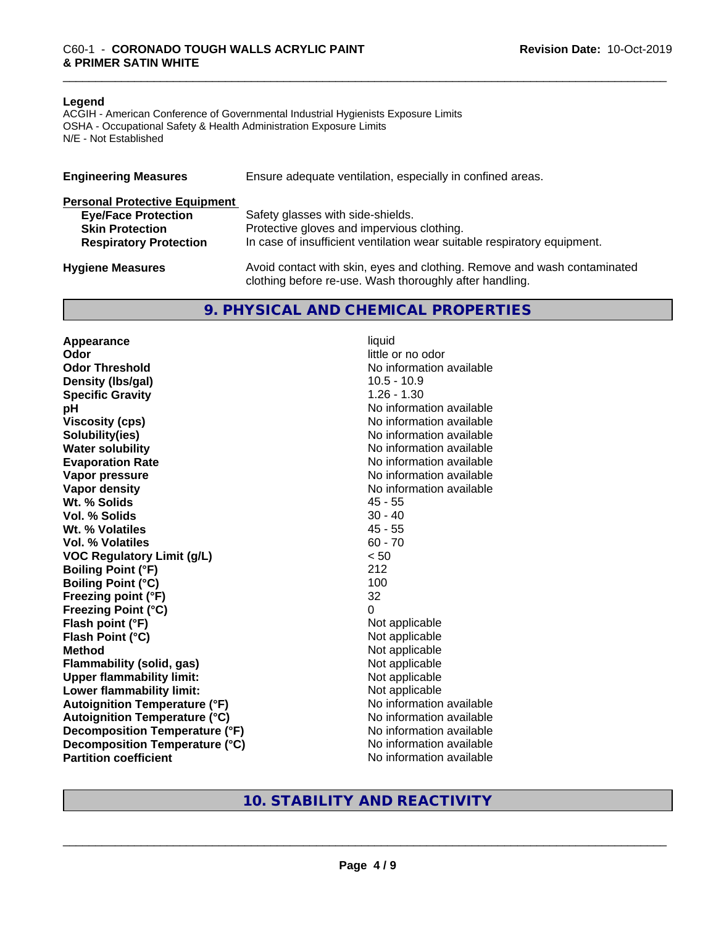#### **Legend**

ACGIH - American Conference of Governmental Industrial Hygienists Exposure Limits OSHA - Occupational Safety & Health Administration Exposure Limits N/E - Not Established

| <b>Engineering Measures</b>          | Ensure adequate ventilation, especially in confined areas.                                                                          |
|--------------------------------------|-------------------------------------------------------------------------------------------------------------------------------------|
| <b>Personal Protective Equipment</b> |                                                                                                                                     |
| <b>Eye/Face Protection</b>           | Safety glasses with side-shields.                                                                                                   |
| <b>Skin Protection</b>               | Protective gloves and impervious clothing.                                                                                          |
| <b>Respiratory Protection</b>        | In case of insufficient ventilation wear suitable respiratory equipment.                                                            |
| <b>Hygiene Measures</b>              | Avoid contact with skin, eyes and clothing. Remove and wash contaminated<br>clothing before re-use. Wash thoroughly after handling. |

#### **9. PHYSICAL AND CHEMICAL PROPERTIES**

**Appearance** liquid **Odor** little or no odor **Odor Threshold No information available No information available Density (lbs/gal)** 10.5 - 10.9 **Specific Gravity** 1.26 - 1.30 **pH pH**  $\blacksquare$ **Viscosity (cps)** No information available **Solubility(ies)** No information available **Water solubility** No information available **Evaporation Rate No information available No information available Vapor pressure** No information available **No information available Vapor density**<br> **We Solids**<br>
We Solids
2019 Wt. % Solids **Vol. % Solids** 30 - 40 **Wt. % Volatiles** 45 - 55 **Vol. % Volatiles** 60 - 70 **VOC Regulatory Limit (g/L)** < 50 **Boiling Point (°F)** 212 **Boiling Point (°C)** 100 **Freezing point (°F)** 32 **Freezing Point (°C)** 0 **Flash point (°F)**<br> **Flash Point (°C)**<br> **Flash Point (°C)**<br> **Not** applicable<br>
Not applicable **Flash Point (°C)**<br>Method **Flammability (solid, gas)**<br> **Upper flammability limit:**<br>
Upper flammability limit:<br>  $\begin{array}{ccc}\n\bullet & \bullet & \bullet \\
\bullet & \bullet & \bullet\n\end{array}$  Not applicable **Upper flammability limit:**<br> **Lower flammability limit:**<br>
Not applicable<br>
Not applicable **Lower flammability limit: Autoignition Temperature (°F)** No information available **Autoignition Temperature (°C)** No information available **Decomposition Temperature (°F)** No information available **Decomposition Temperature (°C)** No information available **Partition coefficient** No information available

**Not applicable** 

# **10. STABILITY AND REACTIVITY**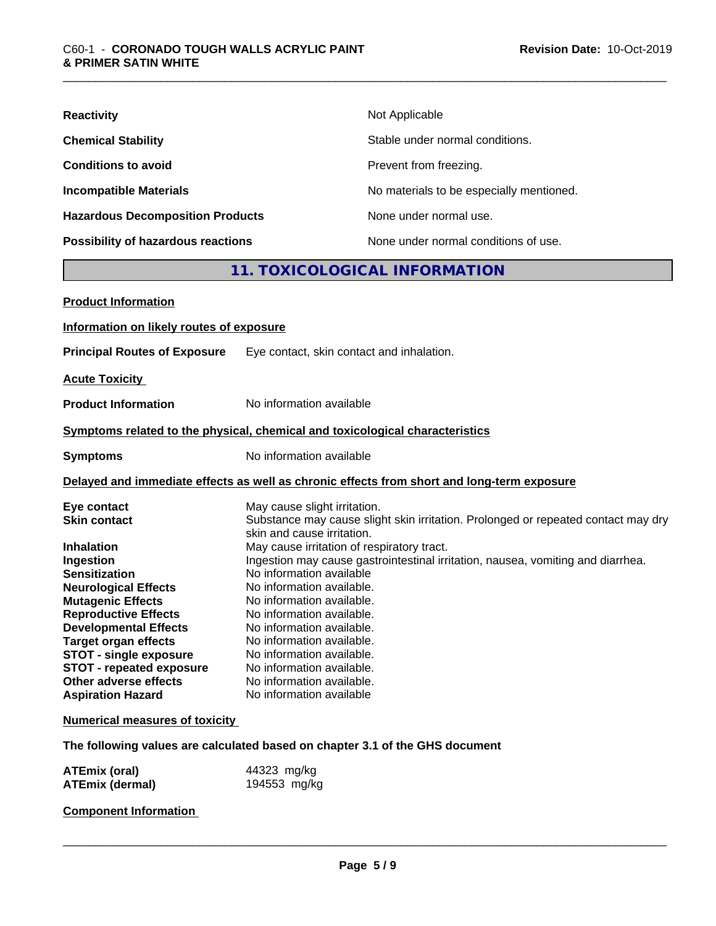| <b>Reactivity</b>                       | Not Applicable                           |
|-----------------------------------------|------------------------------------------|
| <b>Chemical Stability</b>               | Stable under normal conditions.          |
| <b>Conditions to avoid</b>              | Prevent from freezing.                   |
| <b>Incompatible Materials</b>           | No materials to be especially mentioned. |
| <b>Hazardous Decomposition Products</b> | None under normal use.                   |
| Possibility of hazardous reactions      | None under normal conditions of use.     |
|                                         | 11. TOXICOLOGICAL INFORMATION            |
| <b>Product Information</b>              |                                          |

# **Information on likely routes of exposure Principal Routes of Exposure** Eye contact, skin contact and inhalation. **Acute Toxicity Product Information** No information available **Symptoms** related to the physical, chemical and toxicological characteristics **Symptoms** No information available **Delayed and immediate effects as well as chronic effects from short and long-term exposure Eye contact Execute Solution Contact May cause slight irritation.**<br> **Substance may cause slight irritation.**<br>
Substance may cause slight Substance may cause slight skin irritation. Prolonged or repeated contact may dry skin and cause irritation. **Inhalation**<br> **Ingestion**<br> **Ingestion**<br>
Ingestion may cause gastrointestinal irr **Ingestion** Ingestion may cause gastrointestinal irritation, nausea, vomiting and diarrhea. **Sensitization** No information available **Neurological Effects** No information available. **Mutagenic Effects** No information available. **Reproductive Effects** No information available. **Developmental Effects** No information available. **Target organ effects** No information available. **STOT** - **single exposure** No information available. **STOT - repeated exposure** No information available.<br> **Other adverse effects** No information available. **Other adverse effects Aspiration Hazard** No information available

#### **Numerical measures of toxicity**

**The following values are calculated based on chapter 3.1 of the GHS document**

| <b>ATEmix (oral)</b>   | 44323 mg/kg  |  |
|------------------------|--------------|--|
| <b>ATEmix (dermal)</b> | 194553 mg/kg |  |

#### **Component Information**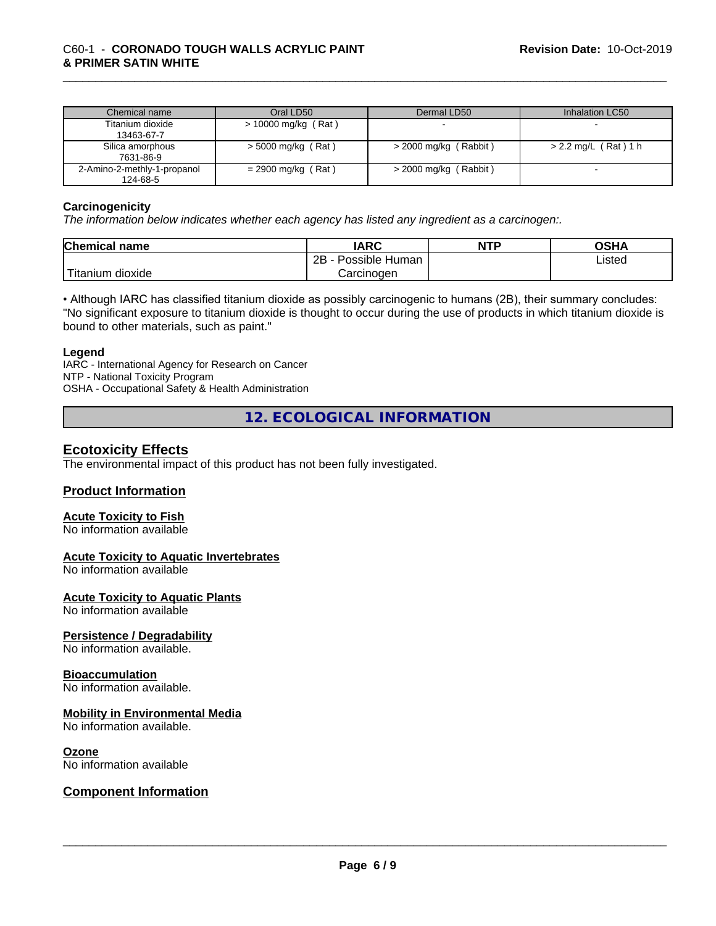| Chemical name                           | Oral LD50            | Dermal LD50             | Inhalation LC50      |
|-----------------------------------------|----------------------|-------------------------|----------------------|
| Titanium dioxide<br>13463-67-7          | > 10000 mg/kg (Rat)  |                         |                      |
| Silica amorphous<br>7631-86-9           | $>$ 5000 mg/kg (Rat) | $>$ 2000 mg/kg (Rabbit) | > 2.2 mg/L (Rat) 1 h |
| 2-Amino-2-methly-1-propanol<br>124-68-5 | $= 2900$ mg/kg (Rat) | $>$ 2000 mg/kg (Rabbit) |                      |

#### **Carcinogenicity**

*The information below indicateswhether each agency has listed any ingredient as a carcinogen:.*

| <b>Chemical</b><br>name           | <b>IARC</b>                      | NTP | ດເ⊔∧<br>⊣הכ∪ |
|-----------------------------------|----------------------------------|-----|--------------|
|                                   | . .<br>2B<br>Possible<br>· Human |     | Listed       |
| $-1$<br>dioxide<br><b>itanium</b> | Carcinogen                       |     |              |

• Although IARC has classified titanium dioxide as possibly carcinogenic to humans (2B), their summary concludes: "No significant exposure to titanium dioxide is thought to occur during the use of products in which titanium dioxide is bound to other materials, such as paint."

#### **Legend**

IARC - International Agency for Research on Cancer NTP - National Toxicity Program OSHA - Occupational Safety & Health Administration

**12. ECOLOGICAL INFORMATION**

### **Ecotoxicity Effects**

The environmental impact of this product has not been fully investigated.

#### **Product Information**

#### **Acute Toxicity to Fish**

No information available

#### **Acute Toxicity to Aquatic Invertebrates**

No information available

#### **Acute Toxicity to Aquatic Plants**

No information available

#### **Persistence / Degradability**

No information available.

#### **Bioaccumulation**

No information available.

#### **Mobility in Environmental Media**

No information available.

#### **Ozone**

No information available

#### **Component Information**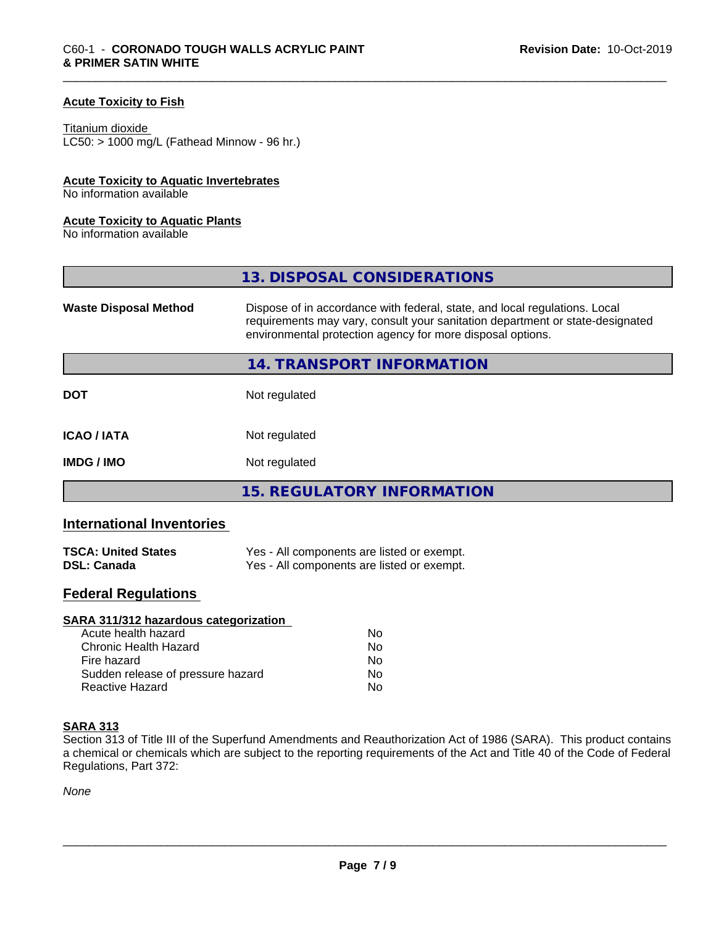#### **Acute Toxicity to Fish**

#### Titanium dioxide

 $LC50:$  > 1000 mg/L (Fathead Minnow - 96 hr.)

#### **Acute Toxicity to Aquatic Invertebrates**

No information available

#### **Acute Toxicity to Aquatic Plants**

No information available

|                              | 13. DISPOSAL CONSIDERATIONS                                                                                                                                                                                               |
|------------------------------|---------------------------------------------------------------------------------------------------------------------------------------------------------------------------------------------------------------------------|
| <b>Waste Disposal Method</b> | Dispose of in accordance with federal, state, and local regulations. Local<br>requirements may vary, consult your sanitation department or state-designated<br>environmental protection agency for more disposal options. |
|                              | 14. TRANSPORT INFORMATION                                                                                                                                                                                                 |
| <b>DOT</b>                   | Not regulated                                                                                                                                                                                                             |
| <b>ICAO/IATA</b>             | Not regulated                                                                                                                                                                                                             |
| <b>IMDG/IMO</b>              | Not regulated                                                                                                                                                                                                             |
|                              | 15. REGULATORY INFORMATION                                                                                                                                                                                                |

# **International Inventories**

| <b>TSCA: United States</b> | Yes - All components are listed or exempt. |
|----------------------------|--------------------------------------------|
| <b>DSL: Canada</b>         | Yes - All components are listed or exempt. |

# **Federal Regulations**

| SARA 311/312 hazardous categorization |    |  |
|---------------------------------------|----|--|
| Acute health hazard                   | Nο |  |
| Chronic Health Hazard                 | Nο |  |
| Fire hazard                           | No |  |
| Sudden release of pressure hazard     | No |  |
| Reactive Hazard                       | No |  |

### **SARA 313**

Section 313 of Title III of the Superfund Amendments and Reauthorization Act of 1986 (SARA). This product contains a chemical or chemicals which are subject to the reporting requirements of the Act and Title 40 of the Code of Federal Regulations, Part 372:

*None*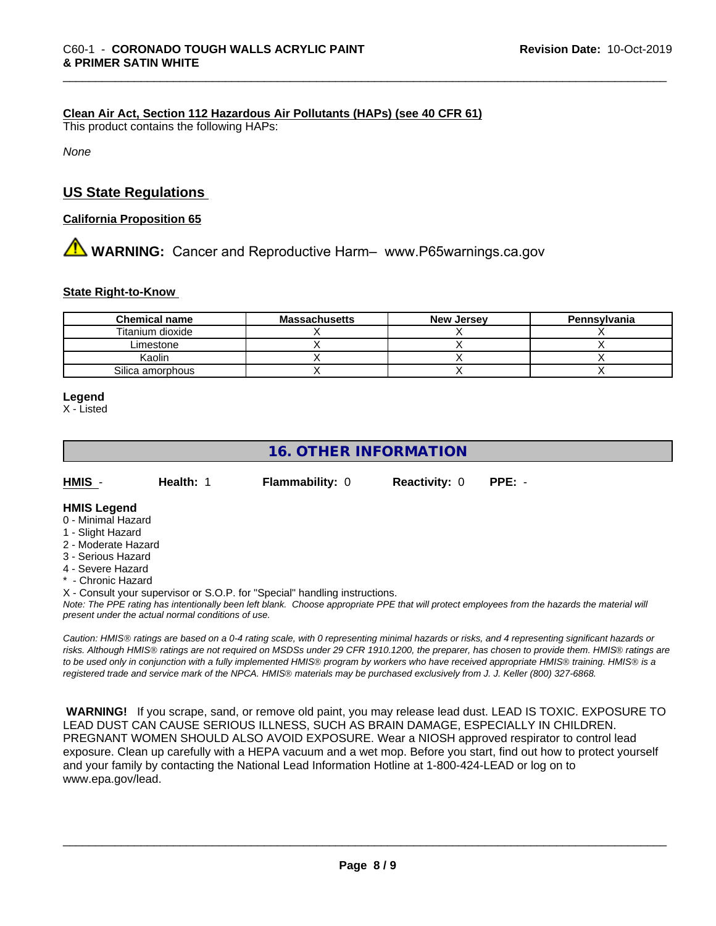#### **Clean Air Act,Section 112 Hazardous Air Pollutants (HAPs) (see 40 CFR 61)**

This product contains the following HAPs:

*None*

# **US State Regulations**

#### **California Proposition 65**

**AN** WARNING: Cancer and Reproductive Harm– www.P65warnings.ca.gov

#### **State Right-to-Know**

| <b>Chemical name</b> | <b>Massachusetts</b> | <b>New Jersey</b> | Pennsylvania |
|----------------------|----------------------|-------------------|--------------|
| Titanium dioxide     |                      |                   |              |
| Limestone            |                      |                   |              |
| Kaolin               |                      |                   |              |
| Silica amorphous     |                      |                   |              |

#### **Legend**

X - Listed

# **16. OTHER INFORMATION**

| HMIS | Health: 1 | <b>Flammability: 0</b> | <b>Reactivity: 0</b> | PPE: - |
|------|-----------|------------------------|----------------------|--------|
|      |           |                        |                      |        |

#### **HMIS Legend**

- 0 Minimal Hazard
- 1 Slight Hazard
- 2 Moderate Hazard
- 3 Serious Hazard
- 4 Severe Hazard
- **Chronic Hazard**
- X Consult your supervisor or S.O.P. for "Special" handling instructions.

*Note: The PPE rating has intentionally been left blank. Choose appropriate PPE that will protect employees from the hazards the material will present under the actual normal conditions of use.*

*Caution: HMISÒ ratings are based on a 0-4 rating scale, with 0 representing minimal hazards or risks, and 4 representing significant hazards or risks. Although HMISÒ ratings are not required on MSDSs under 29 CFR 1910.1200, the preparer, has chosen to provide them. HMISÒ ratings are to be used only in conjunction with a fully implemented HMISÒ program by workers who have received appropriate HMISÒ training. HMISÒ is a registered trade and service mark of the NPCA. HMISÒ materials may be purchased exclusively from J. J. Keller (800) 327-6868.*

 **WARNING!** If you scrape, sand, or remove old paint, you may release lead dust. LEAD IS TOXIC. EXPOSURE TO LEAD DUST CAN CAUSE SERIOUS ILLNESS, SUCH AS BRAIN DAMAGE, ESPECIALLY IN CHILDREN. PREGNANT WOMEN SHOULD ALSO AVOID EXPOSURE.Wear a NIOSH approved respirator to control lead exposure. Clean up carefully with a HEPA vacuum and a wet mop. Before you start, find out how to protect yourself and your family by contacting the National Lead Information Hotline at 1-800-424-LEAD or log on to www.epa.gov/lead.